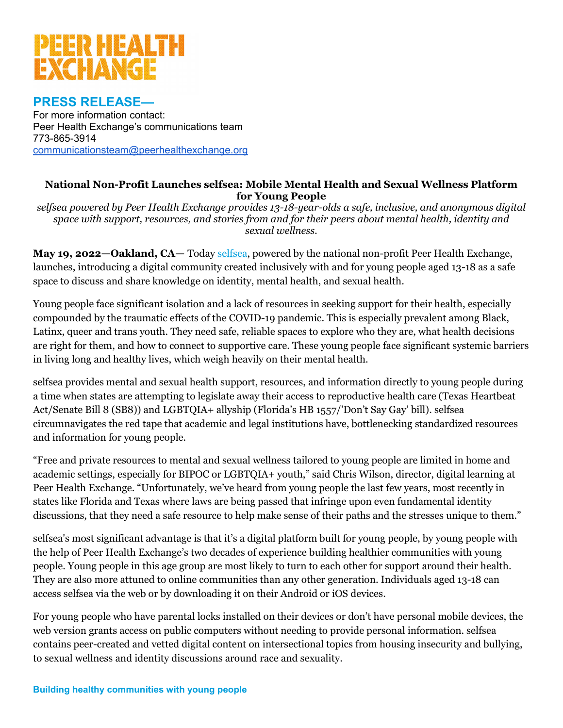

## **PRESS RELEASE—**

For more information contact: Peer Health Exchange's communications team 773-865-3914 [communicationsteam@peerhealthexchange.org](mailto:communicationsteam@peerhealthexchange.org)

#### **National Non-Profit Launches selfsea: Mobile Mental Health and Sexual Wellness Platform for Young People**

*selfsea powered by Peer Health Exchange provides 13-18-year-olds a safe, inclusive, and anonymous digital space with support, resources, and stories from and for their peers about mental health, identity and sexual wellness.*

**May 19, 2022—Oakland, CA—** Toda[y selfsea,](http://www.selfsea.org/) powered by the national non-profit Peer Health Exchange, launches, introducing a digital community created inclusively with and for young people aged 13-18 as a safe space to discuss and share knowledge on identity, mental health, and sexual health.

Young people face significant isolation and a lack of resources in seeking support for their health, especially compounded by the traumatic effects of the COVID-19 pandemic. This is especially prevalent among Black, Latinx, queer and trans youth. They need safe, reliable spaces to explore who they are, what health decisions are right for them, and how to connect to supportive care. These young people face significant systemic barriers in living long and healthy lives, which weigh heavily on their mental health.

selfsea provides mental and sexual health support, resources, and information directly to young people during a time when states are attempting to legislate away their access to reproductive health care (Texas Heartbeat Act/Senate Bill 8 (SB8)) and LGBTQIA+ allyship (Florida's HB 1557/'Don't Say Gay' bill). selfsea circumnavigates the red tape that academic and legal institutions have, bottlenecking standardized resources and information for young people.

"Free and private resources to mental and sexual wellness tailored to young people are limited in home and academic settings, especially for BIPOC or LGBTQIA+ youth," said Chris Wilson, director, digital learning at Peer Health Exchange. "Unfortunately, we've heard from young people the last few years, most recently in states like Florida and Texas where laws are being passed that infringe upon even fundamental identity discussions, that they need a safe resource to help make sense of their paths and the stresses unique to them."

selfsea's most significant advantage is that it's a digital platform built for young people, by young people with the help of Peer Health Exchange's two decades of experience building healthier communities with young people. Young people in this age group are most likely to turn to each other for support around their health. They are also more attuned to online communities than any other generation. Individuals aged 13-18 can access selfsea via the web or by downloading it on their Android or iOS devices.

For young people who have parental locks installed on their devices or don't have personal mobile devices, the web version grants access on public computers without needing to provide personal information. selfsea contains peer-created and vetted digital content on intersectional topics from housing insecurity and bullying, to sexual wellness and identity discussions around race and sexuality.